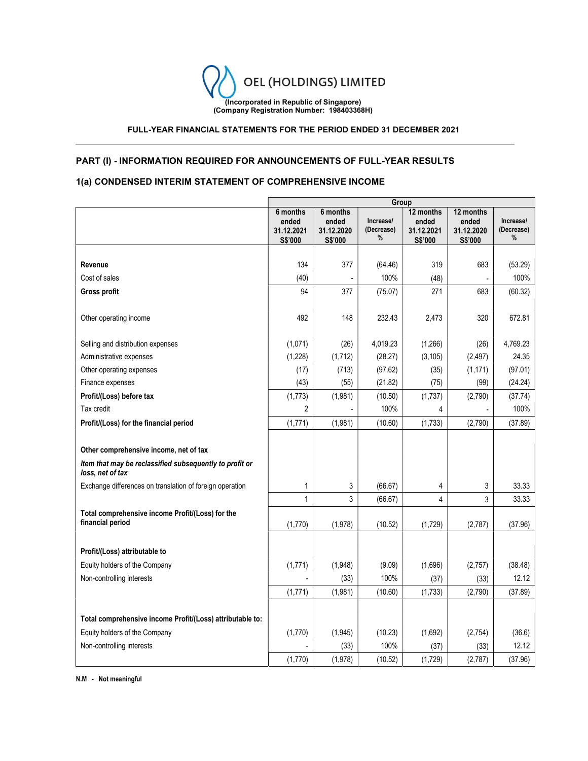

# FULL-YEAR FINANCIAL STATEMENTS FOR THE PERIOD ENDED 31 DECEMBER 2021

# PART (I) - INFORMATION REQUIRED FOR ANNOUNCEMENTS OF FULL-YEAR RESULTS

# 1(a) CONDENSED INTERIM STATEMENT OF COMPREHENSIVE INCOME

|                                                                                                                       | Group                                      |                                            |                              |                                             |                                             |                              |
|-----------------------------------------------------------------------------------------------------------------------|--------------------------------------------|--------------------------------------------|------------------------------|---------------------------------------------|---------------------------------------------|------------------------------|
|                                                                                                                       | 6 months<br>ended<br>31.12.2021<br>S\$'000 | 6 months<br>ended<br>31.12.2020<br>S\$'000 | Increase/<br>(Decrease)<br>% | 12 months<br>ended<br>31.12.2021<br>S\$'000 | 12 months<br>ended<br>31.12.2020<br>S\$'000 | Increase/<br>(Decrease)<br>% |
|                                                                                                                       |                                            |                                            |                              |                                             |                                             |                              |
| Revenue                                                                                                               | 134                                        | 377                                        | (64.46)                      | 319                                         | 683                                         | (53.29)                      |
| Cost of sales                                                                                                         | (40)                                       |                                            | 100%                         | (48)                                        |                                             | 100%                         |
| Gross profit                                                                                                          | 94                                         | 377                                        | (75.07)                      | 271                                         | 683                                         | (60.32)                      |
| Other operating income                                                                                                | 492                                        | 148                                        | 232.43                       | 2,473                                       | 320                                         | 672.81                       |
| Selling and distribution expenses                                                                                     | (1,071)                                    | (26)                                       | 4,019.23                     | (1,266)                                     | (26)                                        | 4,769.23                     |
| Administrative expenses                                                                                               | (1,228)                                    | (1, 712)                                   | (28.27)                      | (3, 105)                                    | (2, 497)                                    | 24.35                        |
| Other operating expenses                                                                                              | (17)                                       | (713)                                      | (97.62)                      | (35)                                        | (1, 171)                                    | (97.01)                      |
| Finance expenses                                                                                                      | (43)                                       | (55)                                       | (21.82)                      | (75)                                        | (99)                                        | (24.24)                      |
| Profit/(Loss) before tax                                                                                              | (1,773)                                    | (1,981)                                    | (10.50)                      | (1,737)                                     | (2,790)                                     | (37.74)                      |
| Tax credit                                                                                                            | $\overline{2}$                             |                                            | 100%                         | 4                                           |                                             | 100%                         |
| Profit/(Loss) for the financial period                                                                                | (1,771)                                    | (1,981)                                    | (10.60)                      | (1,733)                                     | (2,790)                                     | (37.89)                      |
| Other comprehensive income, net of tax<br>Item that may be reclassified subsequently to profit or<br>loss, net of tax |                                            |                                            |                              |                                             |                                             |                              |
| Exchange differences on translation of foreign operation                                                              | 1                                          | 3                                          | (66.67)                      | 4                                           | 3                                           | 33.33                        |
|                                                                                                                       | 1                                          | 3                                          | (66.67)                      | 4                                           | 3                                           | 33.33                        |
| Total comprehensive income Profit/(Loss) for the<br>financial period                                                  | (1,770)                                    | (1,978)                                    | (10.52)                      | (1,729)                                     | (2,787)                                     | (37.96)                      |
| Profit/(Loss) attributable to                                                                                         |                                            |                                            |                              |                                             |                                             |                              |
| Equity holders of the Company                                                                                         | (1,771)                                    | (1,948)                                    | (9.09)                       | (1,696)                                     | (2,757)                                     | (38.48)                      |
| Non-controlling interests                                                                                             |                                            | (33)                                       | 100%                         | (37)                                        | (33)                                        | 12.12                        |
|                                                                                                                       | (1,771)                                    | (1,981)                                    | (10.60)                      | (1,733)                                     | (2,790)                                     | (37.89)                      |
| Total comprehensive income Profit/(Loss) attributable to:                                                             |                                            |                                            |                              |                                             |                                             |                              |
| Equity holders of the Company                                                                                         | (1,770)                                    | (1,945)                                    | (10.23)                      | (1,692)                                     | (2,754)                                     | (36.6)                       |
| Non-controlling interests                                                                                             |                                            | (33)                                       | 100%                         | (37)                                        | (33)                                        | 12.12                        |
|                                                                                                                       | (1,770)                                    | (1,978)                                    | (10.52)                      | (1,729)                                     | (2,787)                                     | (37.96)                      |

N.M - Not meaningful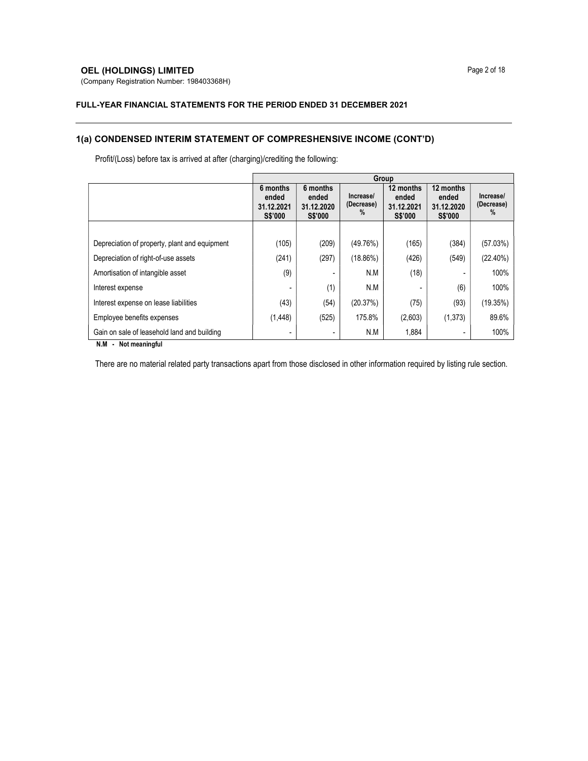# **OEL (HOLDINGS) LIMITED** Page 2 of 18

(Company Registration Number: 198403368H)

#### FULL-YEAR FINANCIAL STATEMENTS FOR THE PERIOD ENDED 31 DECEMBER 2021

# 1(a) CONDENSED INTERIM STATEMENT OF COMPRESHENSIVE INCOME (CONT'D)

Profit/(Loss) before tax is arrived at after (charging)/crediting the following:

|                                                                 | Group                                             |                                                   |                              |                                                    |                                                    |                              |  |
|-----------------------------------------------------------------|---------------------------------------------------|---------------------------------------------------|------------------------------|----------------------------------------------------|----------------------------------------------------|------------------------------|--|
|                                                                 | 6 months<br>ended<br>31.12.2021<br><b>S\$'000</b> | 6 months<br>ended<br>31.12.2020<br><b>S\$'000</b> | Increase/<br>(Decrease)<br>% | 12 months<br>ended<br>31.12.2021<br><b>S\$'000</b> | 12 months<br>ended<br>31.12.2020<br><b>S\$'000</b> | Increase/<br>(Decrease)<br>% |  |
|                                                                 |                                                   |                                                   |                              |                                                    |                                                    |                              |  |
| Depreciation of property, plant and equipment                   | (105)                                             | (209)                                             | (49.76%)                     | (165)                                              | (384)                                              | (57.03%)                     |  |
| Depreciation of right-of-use assets                             | (241)                                             | (297)                                             | $(18.86\%)$                  | (426)                                              | (549)                                              | (22.40%)                     |  |
| Amortisation of intangible asset                                | (9)                                               |                                                   | N.M                          | (18)                                               |                                                    | 100%                         |  |
| Interest expense                                                |                                                   | (1)                                               | N.M                          |                                                    | (6)                                                | 100%                         |  |
| Interest expense on lease liabilities                           | (43)                                              | (54)                                              | (20.37%)                     | (75)                                               | (93)                                               | (19.35%)                     |  |
| Employee benefits expenses                                      | (1, 448)                                          | (525)                                             | 175.8%                       | (2,603)                                            | (1,373)                                            | 89.6%                        |  |
| Gain on sale of leasehold land and building<br>$\mathbf{a}$<br> |                                                   |                                                   | N.M                          | 1,884                                              | ۰                                                  | 100%                         |  |

N.M - Not meaningful

There are no material related party transactions apart from those disclosed in other information required by listing rule section.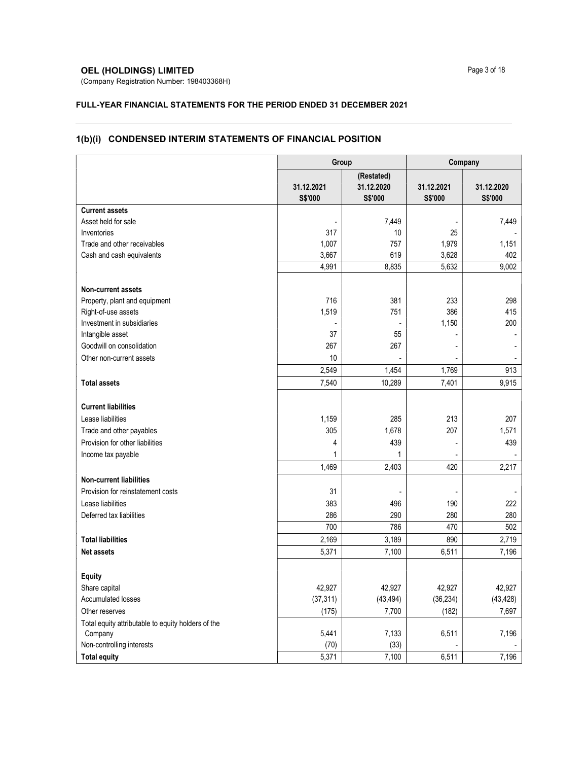# **OEL (HOLDINGS) LIMITED** Page 3 of 18

(Company Registration Number: 198403368H)

# FULL-YEAR FINANCIAL STATEMENTS FOR THE PERIOD ENDED 31 DECEMBER 2021

# 1(b)(i) CONDENSED INTERIM STATEMENTS OF FINANCIAL POSITION

|                                                    | Group                 |                                     | Company               |                       |  |
|----------------------------------------------------|-----------------------|-------------------------------------|-----------------------|-----------------------|--|
|                                                    | 31.12.2021<br>S\$'000 | (Restated)<br>31.12.2020<br>S\$'000 | 31.12.2021<br>S\$'000 | 31.12.2020<br>S\$'000 |  |
| <b>Current assets</b>                              |                       |                                     |                       |                       |  |
| Asset held for sale                                |                       | 7,449                               |                       | 7,449                 |  |
| Inventories                                        | 317                   | 10                                  | 25                    |                       |  |
| Trade and other receivables                        | 1,007                 | 757                                 | 1,979                 | 1,151                 |  |
| Cash and cash equivalents                          | 3,667                 | 619                                 | 3,628                 | 402                   |  |
|                                                    | 4,991                 | 8,835                               | 5,632                 | 9,002                 |  |
| <b>Non-current assets</b>                          |                       |                                     |                       |                       |  |
| Property, plant and equipment                      | 716                   | 381                                 | 233                   | 298                   |  |
| Right-of-use assets                                | 1,519                 | 751                                 | 386                   | 415                   |  |
| Investment in subsidiaries                         |                       |                                     | 1,150                 | 200                   |  |
| Intangible asset                                   | 37                    | 55                                  |                       |                       |  |
| Goodwill on consolidation                          | 267                   | 267                                 |                       |                       |  |
| Other non-current assets                           | 10                    |                                     |                       |                       |  |
|                                                    | 2,549                 | 1,454                               | 1,769                 | 913                   |  |
| <b>Total assets</b>                                | 7,540                 | 10,289                              | 7,401                 | 9,915                 |  |
|                                                    |                       |                                     |                       |                       |  |
| <b>Current liabilities</b>                         |                       |                                     |                       |                       |  |
| Lease liabilities                                  | 1,159                 | 285                                 | 213                   | 207                   |  |
| Trade and other payables                           | 305                   | 1,678                               | 207                   | 1,571                 |  |
| Provision for other liabilities                    | 4                     | 439                                 |                       | 439                   |  |
| Income tax payable                                 | 1                     | 1                                   |                       |                       |  |
|                                                    | 1,469                 | 2,403                               | 420                   | 2,217                 |  |
| <b>Non-current liabilities</b>                     |                       |                                     |                       |                       |  |
| Provision for reinstatement costs                  | 31                    |                                     |                       |                       |  |
| Lease liabilities                                  | 383                   | 496                                 | 190                   | 222                   |  |
| Deferred tax liabilities                           | 286                   | 290                                 | 280                   | 280                   |  |
|                                                    | 700                   | 786                                 | 470                   | 502                   |  |
| <b>Total liabilities</b>                           | 2,169                 | 3,189                               | 890                   | 2,719                 |  |
| <b>Net assets</b>                                  | 5,371                 | 7,100                               | 6,511                 | 7,196                 |  |
| <b>Equity</b>                                      |                       |                                     |                       |                       |  |
| Share capital                                      | 42,927                | 42,927                              | 42,927                | 42,927                |  |
| Accumulated losses                                 | (37, 311)             | (43, 494)                           | (36, 234)             | (43, 428)             |  |
| Other reserves                                     | (175)                 | 7,700                               | (182)                 | 7,697                 |  |
| Total equity attributable to equity holders of the |                       |                                     |                       |                       |  |
| Company                                            | 5,441                 | 7,133                               | 6,511                 | 7,196                 |  |
| Non-controlling interests                          | (70)                  | (33)                                |                       |                       |  |
| <b>Total equity</b>                                | 5,371                 | 7,100                               | 6,511                 | 7,196                 |  |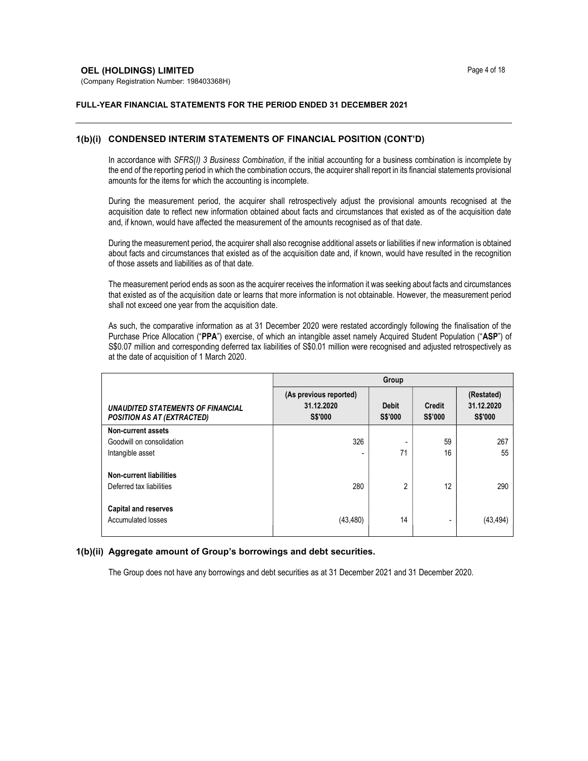(Company Registration Number: 198403368H)

### FULL-YEAR FINANCIAL STATEMENTS FOR THE PERIOD ENDED 31 DECEMBER 2021

## 1(b)(i) CONDENSED INTERIM STATEMENTS OF FINANCIAL POSITION (CONT'D)

In accordance with SFRS(I) 3 Business Combination, if the initial accounting for a business combination is incomplete by the end of the reporting period in which the combination occurs, the acquirer shall report in its financial statements provisional amounts for the items for which the accounting is incomplete.

During the measurement period, the acquirer shall retrospectively adjust the provisional amounts recognised at the acquisition date to reflect new information obtained about facts and circumstances that existed as of the acquisition date and, if known, would have affected the measurement of the amounts recognised as of that date.

During the measurement period, the acquirer shall also recognise additional assets or liabilities if new information is obtained about facts and circumstances that existed as of the acquisition date and, if known, would have resulted in the recognition of those assets and liabilities as of that date.

The measurement period ends as soon as the acquirer receives the information it was seeking about facts and circumstances that existed as of the acquisition date or learns that more information is not obtainable. However, the measurement period shall not exceed one year from the acquisition date.

As such, the comparative information as at 31 December 2020 were restated accordingly following the finalisation of the Purchase Price Allocation ("PPA") exercise, of which an intangible asset namely Acquired Student Population ("ASP") of S\$0.07 million and corresponding deferred tax liabilities of S\$0.01 million were recognised and adjusted retrospectively as at the date of acquisition of 1 March 2020.

|                                                                        | Group                                                  |                         |                                 |                                            |  |  |
|------------------------------------------------------------------------|--------------------------------------------------------|-------------------------|---------------------------------|--------------------------------------------|--|--|
| UNAUDITED STATEMENTS OF FINANCIAL<br><b>POSITION AS AT (EXTRACTED)</b> | (As previous reported)<br>31.12.2020<br><b>S\$'000</b> | <b>Debit</b><br>S\$'000 | <b>Credit</b><br><b>S\$'000</b> | (Restated)<br>31.12.2020<br><b>S\$'000</b> |  |  |
| Non-current assets                                                     |                                                        |                         |                                 |                                            |  |  |
| Goodwill on consolidation                                              | 326                                                    |                         | 59                              | 267                                        |  |  |
| Intangible asset                                                       | -                                                      | 71                      | 16                              | 55                                         |  |  |
| <b>Non-current liabilities</b>                                         |                                                        |                         |                                 |                                            |  |  |
| Deferred tax liabilities                                               | 280                                                    | $\mathfrak{p}$          | 12                              | 290                                        |  |  |
| <b>Capital and reserves</b><br>Accumulated losses                      | (43, 480)                                              | 14                      |                                 | (43, 494)                                  |  |  |

# 1(b)(ii) Aggregate amount of Group's borrowings and debt securities.

The Group does not have any borrowings and debt securities as at 31 December 2021 and 31 December 2020.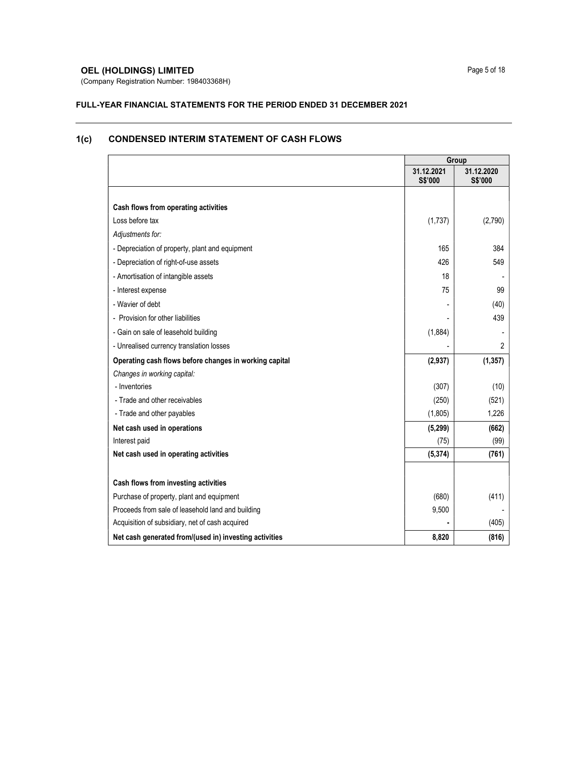# **OEL (HOLDINGS) LIMITED Page 5 of 18**

(Company Registration Number: 198403368H)

#### FULL-YEAR FINANCIAL STATEMENTS FOR THE PERIOD ENDED 31 DECEMBER 2021

# Group 31.12.2021 S\$'000 31.12.2020 S\$'000 Cash flows from operating activities  $\text{Loss before tax}$  (1,737) (2,790) Adjustments for: - Depreciation of property, plant and equipment 165 384 - Depreciation of right-of-use assets 426 549 - Amortisation of intangible assets 18 - - Interest expense 75 99 - Wavier of debt (40)  $(40)$ - Provision for other liabilities and the set of the set of the set of the set of the set of the set of the set of the set of the set of the set of the set of the set of the set of the set of the set of the set of the set - Gain on sale of leasehold building (1,884) (1,884) - Unrealised currency translation losses - 2 Operating cash flows before changes in working capital (2,937) (1,357) (1,357) Changes in working capital: - Inventories (307) (10) - Trade and other receivables (521) (521) - Trade and other payables (1,805) 1,226 Net cash used in operations (662) (662) (662) Interest paid (75) (99) Net cash used in operating activities (761) (761) Cash flows from investing activities Purchase of property, plant and equipment (411) (680) (411) Proceeds from sale of leasehold land and building example 1 and 20,500 - 9,500 - 9,500 - 9,500 - 9,500 - 9,500 - 9,500 - 9,500 - 9,500 - 9,500 - 9,500 - 9,500 - 9,500 - 9,500 - 9,500 - 9,500 - 9,500 - 9,500 - 9,500 - 9,500 Acquisition of subsidiary, net of cash acquired  $(405)$ Net cash generated from/(used in) investing activities **8,820** (816)

# 1(c) CONDENSED INTERIM STATEMENT OF CASH FLOWS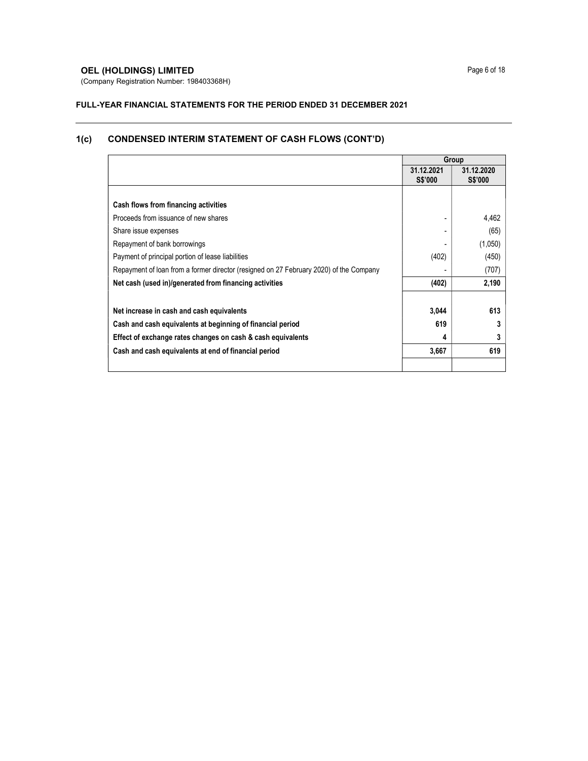# **OEL (HOLDINGS) LIMITED** Page 6 of 18

(Company Registration Number: 198403368H)

# FULL-YEAR FINANCIAL STATEMENTS FOR THE PERIOD ENDED 31 DECEMBER 2021

# 1(c) CONDENSED INTERIM STATEMENT OF CASH FLOWS (CONT'D)

|                                                                                        |                              | Group                        |
|----------------------------------------------------------------------------------------|------------------------------|------------------------------|
|                                                                                        | 31.12.2021<br><b>S\$'000</b> | 31.12.2020<br><b>S\$'000</b> |
|                                                                                        |                              |                              |
| Cash flows from financing activities                                                   |                              |                              |
| Proceeds from issuance of new shares                                                   |                              | 4,462                        |
| Share issue expenses                                                                   |                              | (65)                         |
| Repayment of bank borrowings                                                           |                              | (1,050)                      |
| Payment of principal portion of lease liabilities                                      | (402)                        | (450)                        |
| Repayment of loan from a former director (resigned on 27 February 2020) of the Company |                              | (707)                        |
| Net cash (used in)/generated from financing activities                                 | (402)                        | 2,190                        |
| Net increase in cash and cash equivalents                                              | 3,044                        | 613                          |
| Cash and cash equivalents at beginning of financial period                             | 619                          | 3                            |
| Effect of exchange rates changes on cash & cash equivalents                            | 4                            | 3                            |
| Cash and cash equivalents at end of financial period                                   | 3,667                        | 619                          |
|                                                                                        |                              |                              |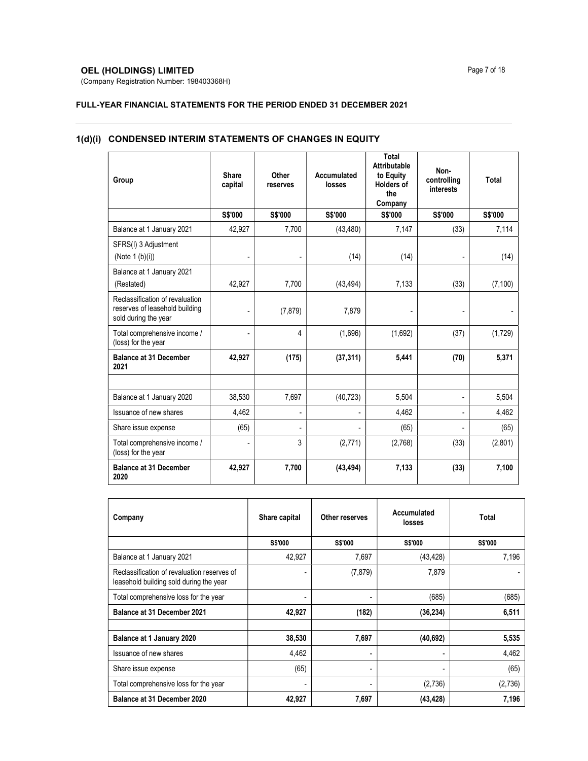# **OEL (HOLDINGS) LIMITED** Page 7 of 18

(Company Registration Number: 198403368H)

# FULL-YEAR FINANCIAL STATEMENTS FOR THE PERIOD ENDED 31 DECEMBER 2021

| Group                                                                                     | Share<br>capital         | Other<br>reserves        | Accumulated<br>losses | Total<br>Attributable<br>to Equity<br><b>Holders of</b><br>the<br>Company | Non-<br>controlling<br>interests | <b>Total</b>   |
|-------------------------------------------------------------------------------------------|--------------------------|--------------------------|-----------------------|---------------------------------------------------------------------------|----------------------------------|----------------|
|                                                                                           | S\$'000                  | S\$'000                  | S\$'000               | S\$'000                                                                   | S\$'000                          | <b>S\$'000</b> |
| Balance at 1 January 2021                                                                 | 42,927                   | 7,700                    | (43, 480)             | 7,147                                                                     | (33)                             | 7,114          |
| SFRS(I) 3 Adjustment<br>(Note $1(b)(i)$ )                                                 | $\overline{\phantom{a}}$ | $\frac{1}{2}$            | (14)                  | (14)                                                                      |                                  | (14)           |
| Balance at 1 January 2021<br>(Restated)                                                   | 42.927                   | 7,700                    | (43, 494)             | 7,133                                                                     | (33)                             | (7, 100)       |
| Reclassification of revaluation<br>reserves of leasehold building<br>sold during the year |                          | (7, 879)                 | 7,879                 |                                                                           |                                  |                |
| Total comprehensive income /<br>(loss) for the year                                       |                          | 4                        | (1,696)               | (1,692)                                                                   | (37)                             | (1,729)        |
| <b>Balance at 31 December</b><br>2021                                                     | 42,927                   | (175)                    | (37, 311)             | 5,441                                                                     | (70)                             | 5,371          |
|                                                                                           |                          |                          |                       |                                                                           |                                  |                |
| Balance at 1 January 2020                                                                 | 38,530                   | 7,697                    | (40, 723)             | 5,504                                                                     | ٠                                | 5,504          |
| Issuance of new shares                                                                    | 4,462                    | $\overline{\phantom{a}}$ | L.                    | 4,462                                                                     |                                  | 4,462          |
| Share issue expense                                                                       | (65)                     |                          |                       | (65)                                                                      |                                  | (65)           |
| Total comprehensive income /<br>(loss) for the year                                       |                          | 3                        | (2,771)               | (2,768)                                                                   | (33)                             | (2,801)        |
| <b>Balance at 31 December</b><br>2020                                                     | 42,927                   | 7,700                    | (43, 494)             | 7,133                                                                     | (33)                             | 7,100          |

# 1(d)(i) CONDENSED INTERIM STATEMENTS OF CHANGES IN EQUITY

| Company                                                                                | Share capital  | Other reserves | Accumulated<br>losses | Total   |
|----------------------------------------------------------------------------------------|----------------|----------------|-----------------------|---------|
|                                                                                        | <b>S\$'000</b> | <b>S\$'000</b> | S\$'000               | S\$'000 |
| Balance at 1 January 2021                                                              | 42,927         | 7,697          | (43, 428)             | 7,196   |
| Reclassification of revaluation reserves of<br>leasehold building sold during the year |                | (7, 879)       | 7,879                 |         |
| Total comprehensive loss for the year                                                  | $\blacksquare$ |                | (685)                 | (685)   |
| Balance at 31 December 2021                                                            | 42,927         | (182)          | (36, 234)             | 6,511   |
|                                                                                        |                |                |                       |         |
| Balance at 1 January 2020                                                              | 38,530         | 7,697          | (40, 692)             | 5,535   |
| Issuance of new shares                                                                 | 4,462          |                |                       | 4,462   |
| Share issue expense                                                                    | (65)           | ۰              | ۰                     | (65)    |
| Total comprehensive loss for the year                                                  |                |                | (2,736)               | (2,736) |
| Balance at 31 December 2020                                                            | 42,927         | 7,697          | (43,428)              | 7,196   |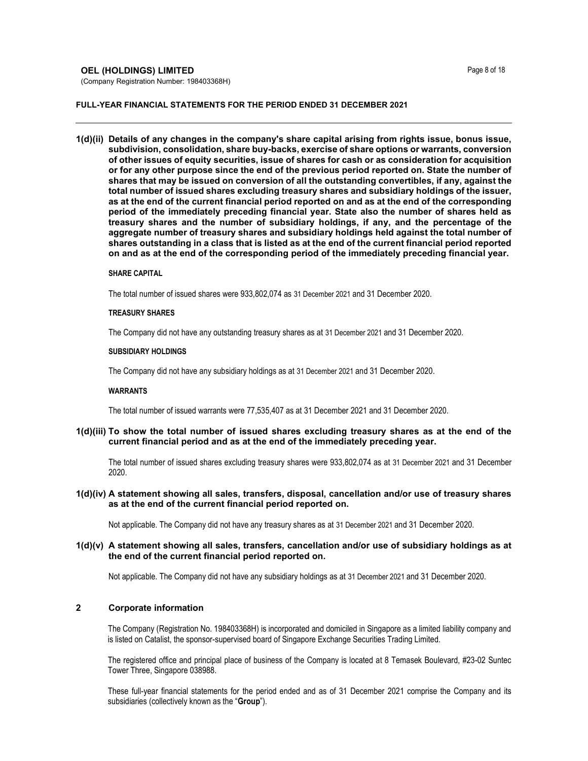#### **OEL (HOLDINGS) LIMITED Page 8 of 18**

#### FULL-YEAR FINANCIAL STATEMENTS FOR THE PERIOD ENDED 31 DECEMBER 2021

1(d)(ii) Details of any changes in the company's share capital arising from rights issue, bonus issue, subdivision, consolidation, share buy-backs, exercise of share options or warrants, conversion of other issues of equity securities, issue of shares for cash or as consideration for acquisition or for any other purpose since the end of the previous period reported on. State the number of shares that may be issued on conversion of all the outstanding convertibles, if any, against the total number of issued shares excluding treasury shares and subsidiary holdings of the issuer, as at the end of the current financial period reported on and as at the end of the corresponding period of the immediately preceding financial year. State also the number of shares held as treasury shares and the number of subsidiary holdings, if any, and the percentage of the aggregate number of treasury shares and subsidiary holdings held against the total number of shares outstanding in a class that is listed as at the end of the current financial period reported on and as at the end of the corresponding period of the immediately preceding financial year.

#### SHARE CAPITAL

The total number of issued shares were 933,802,074 as 31 December 2021 and 31 December 2020.

#### TREASURY SHARES

The Company did not have any outstanding treasury shares as at 31 December 2021 and 31 December 2020.

#### SUBSIDIARY HOLDINGS

The Company did not have any subsidiary holdings as at 31 December 2021 and 31 December 2020.

#### WARRANTS

The total number of issued warrants were 77,535,407 as at 31 December 2021 and 31 December 2020.

## 1(d)(iii) To show the total number of issued shares excluding treasury shares as at the end of the current financial period and as at the end of the immediately preceding year.

The total number of issued shares excluding treasury shares were 933,802,074 as at 31 December 2021 and 31 December 2020.

## 1(d)(iv) A statement showing all sales, transfers, disposal, cancellation and/or use of treasury shares as at the end of the current financial period reported on.

Not applicable. The Company did not have any treasury shares as at 31 December 2021 and 31 December 2020.

## 1(d)(v) A statement showing all sales, transfers, cancellation and/or use of subsidiary holdings as at the end of the current financial period reported on.

Not applicable. The Company did not have any subsidiary holdings as at 31 December 2021 and 31 December 2020.

# 2 Corporate information

 The Company (Registration No. 198403368H) is incorporated and domiciled in Singapore as a limited liability company and is listed on Catalist, the sponsor-supervised board of Singapore Exchange Securities Trading Limited.

The registered office and principal place of business of the Company is located at 8 Temasek Boulevard, #23-02 Suntec Tower Three, Singapore 038988.

These full-year financial statements for the period ended and as of 31 December 2021 comprise the Company and its subsidiaries (collectively known as the "Group").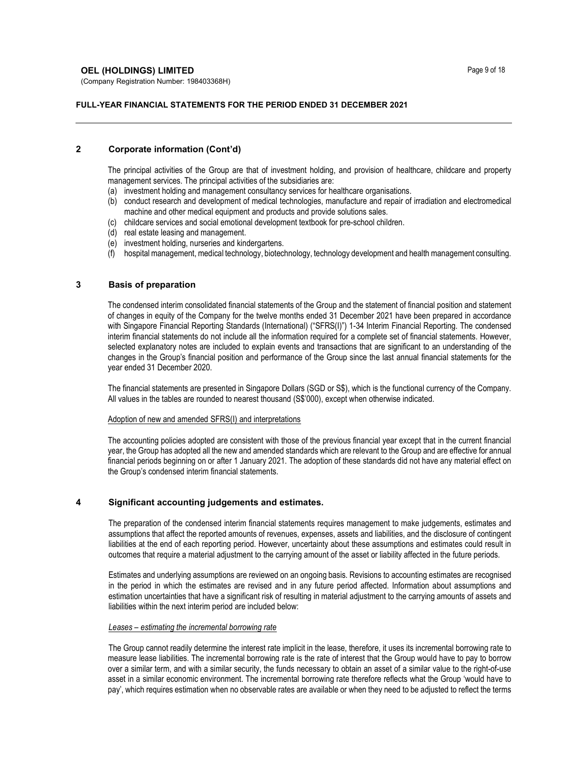## **OEL (HOLDINGS) LIMITED** Page 9 of 18

(Company Registration Number: 198403368H)

## FULL-YEAR FINANCIAL STATEMENTS FOR THE PERIOD ENDED 31 DECEMBER 2021

# 2 Corporate information (Cont'd)

The principal activities of the Group are that of investment holding, and provision of healthcare, childcare and property management services. The principal activities of the subsidiaries are:

- (a) investment holding and management consultancy services for healthcare organisations.
- (b) conduct research and development of medical technologies, manufacture and repair of irradiation and electromedical machine and other medical equipment and products and provide solutions sales.
- (c) childcare services and social emotional development textbook for pre-school children.
- (d) real estate leasing and management.
- (e) investment holding, nurseries and kindergartens.
- (f) hospital management, medical technology, biotechnology, technology development and health management consulting.

# 3 Basis of preparation

The condensed interim consolidated financial statements of the Group and the statement of financial position and statement of changes in equity of the Company for the twelve months ended 31 December 2021 have been prepared in accordance with Singapore Financial Reporting Standards (International) ("SFRS(I)") 1-34 Interim Financial Reporting. The condensed interim financial statements do not include all the information required for a complete set of financial statements. However, selected explanatory notes are included to explain events and transactions that are significant to an understanding of the changes in the Group's financial position and performance of the Group since the last annual financial statements for the year ended 31 December 2020.

The financial statements are presented in Singapore Dollars (SGD or S\$), which is the functional currency of the Company. All values in the tables are rounded to nearest thousand (S\$'000), except when otherwise indicated.

#### Adoption of new and amended SFRS(I) and interpretations

The accounting policies adopted are consistent with those of the previous financial year except that in the current financial year, the Group has adopted all the new and amended standards which are relevant to the Group and are effective for annual financial periods beginning on or after 1 January 2021. The adoption of these standards did not have any material effect on the Group's condensed interim financial statements.

# 4 Significant accounting judgements and estimates.

The preparation of the condensed interim financial statements requires management to make judgements, estimates and assumptions that affect the reported amounts of revenues, expenses, assets and liabilities, and the disclosure of contingent liabilities at the end of each reporting period. However, uncertainty about these assumptions and estimates could result in outcomes that require a material adjustment to the carrying amount of the asset or liability affected in the future periods.

 Estimates and underlying assumptions are reviewed on an ongoing basis. Revisions to accounting estimates are recognised in the period in which the estimates are revised and in any future period affected. Information about assumptions and estimation uncertainties that have a significant risk of resulting in material adjustment to the carrying amounts of assets and liabilities within the next interim period are included below:

#### Leases – estimating the incremental borrowing rate

The Group cannot readily determine the interest rate implicit in the lease, therefore, it uses its incremental borrowing rate to measure lease liabilities. The incremental borrowing rate is the rate of interest that the Group would have to pay to borrow over a similar term, and with a similar security, the funds necessary to obtain an asset of a similar value to the right-of-use asset in a similar economic environment. The incremental borrowing rate therefore reflects what the Group 'would have to pay', which requires estimation when no observable rates are available or when they need to be adjusted to reflect the terms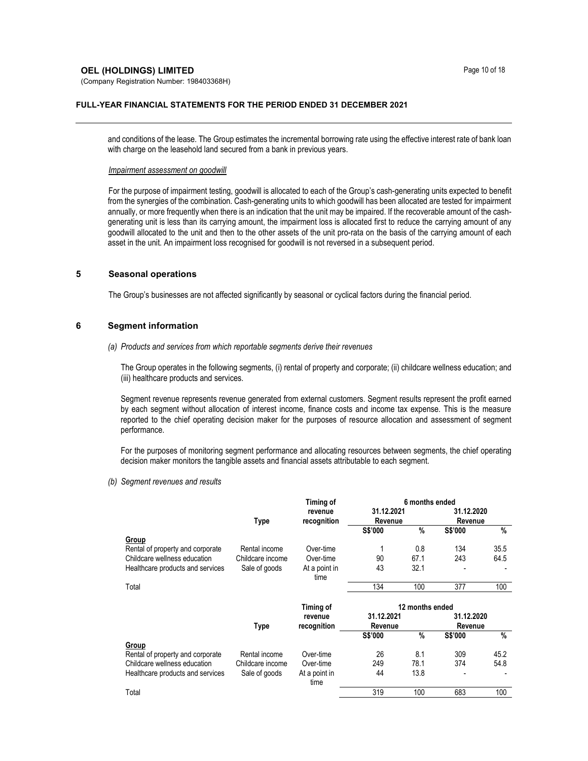#### **OEL (HOLDINGS) LIMITED** Page 10 of 18

(Company Registration Number: 198403368H)

#### FULL-YEAR FINANCIAL STATEMENTS FOR THE PERIOD ENDED 31 DECEMBER 2021

and conditions of the lease. The Group estimates the incremental borrowing rate using the effective interest rate of bank loan with charge on the leasehold land secured from a bank in previous years.

#### Impairment assessment on goodwill

For the purpose of impairment testing, goodwill is allocated to each of the Group's cash-generating units expected to benefit from the synergies of the combination. Cash-generating units to which goodwill has been allocated are tested for impairment annually, or more frequently when there is an indication that the unit may be impaired. If the recoverable amount of the cashgenerating unit is less than its carrying amount, the impairment loss is allocated first to reduce the carrying amount of any goodwill allocated to the unit and then to the other assets of the unit pro-rata on the basis of the carrying amount of each asset in the unit. An impairment loss recognised for goodwill is not reversed in a subsequent period.

## 5 Seasonal operations

The Group's businesses are not affected significantly by seasonal or cyclical factors during the financial period.

#### 6 Segment information

(a) Products and services from which reportable segments derive their revenues

The Group operates in the following segments, (i) rental of property and corporate; (ii) childcare wellness education; and (iii) healthcare products and services.

Segment revenue represents revenue generated from external customers. Segment results represent the profit earned by each segment without allocation of interest income, finance costs and income tax expense. This is the measure reported to the chief operating decision maker for the purposes of resource allocation and assessment of segment performance.

For the purposes of monitoring segment performance and allocating resources between segments, the chief operating decision maker monitors the tangible assets and financial assets attributable to each segment.

(b) Segment revenues and results

|                                  |                  | Timing of              | 6 months ended        |               |                       |      |
|----------------------------------|------------------|------------------------|-----------------------|---------------|-----------------------|------|
|                                  |                  | revenue                | 31.12.2021            |               | 31.12.2020            |      |
|                                  | <b>Type</b>      | recognition            | Revenue               |               | Revenue               |      |
|                                  |                  |                        | S\$'000               | $\%$          | <b>S\$'000</b>        | %    |
| Group                            |                  |                        |                       |               |                       |      |
| Rental of property and corporate | Rental income    | Over-time              |                       | 0.8           | 134                   | 35.5 |
| Childcare wellness education     | Childcare income | Over-time              | 90                    | 67.1          | 243                   | 64.5 |
| Healthcare products and services | Sale of goods    | At a point in<br>time  | 43                    | 32.1          |                       |      |
| Total                            |                  |                        | 134                   | 100           | 377                   | 100  |
|                                  |                  | Timing of              | 12 months ended       |               |                       |      |
|                                  | <b>Type</b>      | revenue<br>recognition | 31.12.2021<br>Revenue |               | 31.12.2020<br>Revenue |      |
|                                  |                  |                        | S\$'000               | $\frac{0}{0}$ | S\$'000               | $\%$ |
| <b>Group</b>                     |                  |                        |                       |               |                       |      |
| Rental of property and corporate | Rental income    | Over-time              | 26                    | 8.1           | 309                   | 45.2 |
| Childcare wellness education     | Childcare income | Over-time              | 249                   | 78.1          | 374                   | 54.8 |
| Healthcare products and services | Sale of goods    | At a point in<br>time  | 44                    | 13.8          |                       |      |
|                                  |                  |                        |                       |               |                       |      |
| Total                            |                  |                        | 319                   | 100           | 683                   | 100  |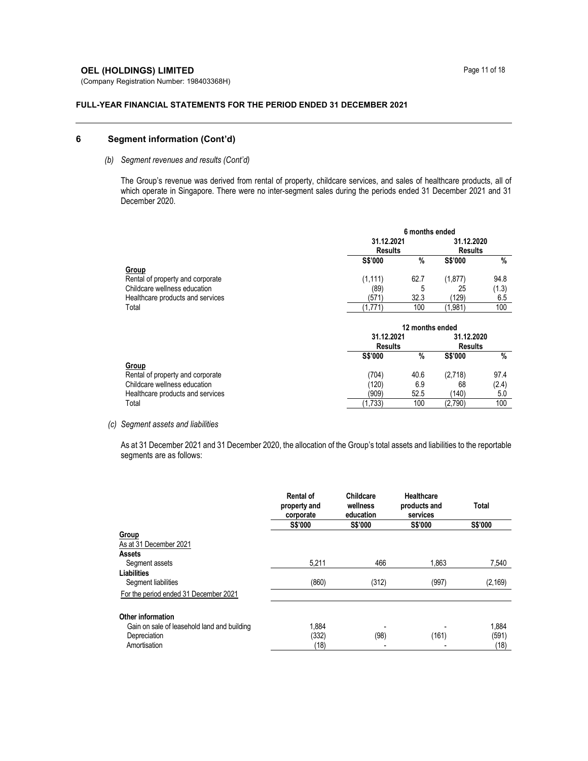# **OEL (HOLDINGS) LIMITED** Page 11 of 18

(Company Registration Number: 198403368H)

#### FULL-YEAR FINANCIAL STATEMENTS FOR THE PERIOD ENDED 31 DECEMBER 2021

# 6 Segment information (Cont'd)

## (b) Segment revenues and results (Cont'd)

The Group's revenue was derived from rental of property, childcare services, and sales of healthcare products, all of which operate in Singapore. There were no inter-segment sales during the periods ended 31 December 2021 and 31 December 2020.

|                                  | 6 months ended |                |                |                |  |  |
|----------------------------------|----------------|----------------|----------------|----------------|--|--|
|                                  | 31.12.2021     |                | 31.12.2020     |                |  |  |
|                                  |                | <b>Results</b> |                | <b>Results</b> |  |  |
|                                  | <b>S\$'000</b> | %              | <b>S\$'000</b> | $\%$           |  |  |
| <b>Group</b>                     |                |                |                |                |  |  |
| Rental of property and corporate | (1, 111)       | 62.7           | (1,877)        | 94.8           |  |  |
| Childcare wellness education     | (89)           | 5              | 25             | (1.3)          |  |  |
| Healthcare products and services | (571)          | 32.3           | (129)          | 6.5            |  |  |
| Total                            | (1,771)        | 100            | (1,981)        | 100            |  |  |

|                                  | 12 months ended |                |                |       |  |  |
|----------------------------------|-----------------|----------------|----------------|-------|--|--|
|                                  | 31.12.2021      |                | 31.12.2020     |       |  |  |
|                                  |                 | <b>Results</b> |                |       |  |  |
|                                  | <b>S\$'000</b>  | %              | <b>S\$'000</b> | $\%$  |  |  |
| <u>Group</u>                     |                 |                |                |       |  |  |
| Rental of property and corporate | (704)           | 40.6           | (2,718)        | 97.4  |  |  |
| Childcare wellness education     | (120)           | 6.9            | 68             | (2.4) |  |  |
| Healthcare products and services | (909)           | 52.5           | (140)          | 5.0   |  |  |
| Total                            | (1,733)         | 100            | (2,790)        | 100   |  |  |

## (c) Segment assets and liabilities

As at 31 December 2021 and 31 December 2020, the allocation of the Group's total assets and liabilities to the reportable segments are as follows:

|                                             | <b>Rental of</b><br>property and<br>corporate | Childcare<br>wellness<br>education | Healthcare<br>products and<br>services | <b>Total</b> |
|---------------------------------------------|-----------------------------------------------|------------------------------------|----------------------------------------|--------------|
|                                             | <b>S\$'000</b>                                | <b>S\$'000</b>                     | <b>S\$'000</b>                         | S\$'000      |
| Group                                       |                                               |                                    |                                        |              |
| As at 31 December 2021                      |                                               |                                    |                                        |              |
| <b>Assets</b>                               |                                               |                                    |                                        |              |
| Segment assets                              | 5,211                                         | 466                                | 1,863                                  | 7,540        |
| Liabilities                                 |                                               |                                    |                                        |              |
| Segment liabilities                         | (860)                                         | (312)                              | (997)                                  | (2, 169)     |
| For the period ended 31 December 2021       |                                               |                                    |                                        |              |
| Other information                           |                                               |                                    |                                        |              |
| Gain on sale of leasehold land and building | 1.884                                         |                                    |                                        | 1.884        |
| Depreciation                                | (332)                                         | (98)                               | (161)                                  | (591)        |
| Amortisation                                | (18)                                          |                                    |                                        | (18)         |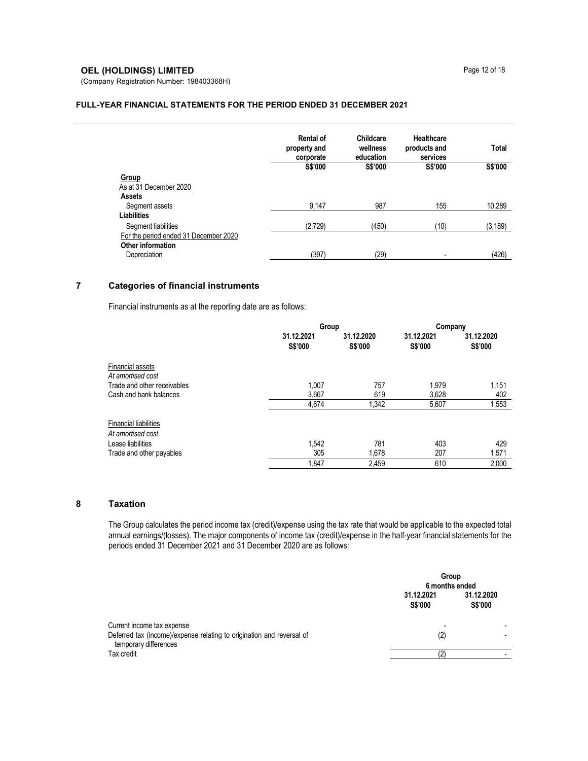# **OEL (HOLDINGS) LIMITED** Page 12 of 18

(Company Registration Number: 198403368H)

#### FULL-YEAR FINANCIAL STATEMENTS FOR THE PERIOD ENDED 31 DECEMBER 2021

|                                       | <b>Rental of</b><br>property and<br>corporate | Childcare<br>wellness<br>education | <b>Healthcare</b><br>products and<br>services | <b>Total</b> |
|---------------------------------------|-----------------------------------------------|------------------------------------|-----------------------------------------------|--------------|
|                                       | S\$'000                                       | S\$'000                            | S\$'000                                       | S\$'000      |
| <b>Group</b>                          |                                               |                                    |                                               |              |
| As at 31 December 2020                |                                               |                                    |                                               |              |
| Assets                                |                                               |                                    |                                               |              |
| Segment assets                        | 9,147                                         | 987                                | 155                                           | 10,289       |
| Liabilities                           |                                               |                                    |                                               |              |
| Segment liabilities                   | (2,729)                                       | (450)                              | (10)                                          | (3, 189)     |
| For the period ended 31 December 2020 |                                               |                                    |                                               |              |
| Other information                     |                                               |                                    |                                               |              |
| Depreciation                          | (397)                                         | (29)                               | -                                             | (426)        |

# 7 Categories of financial instruments

Financial instruments as at the reporting date are as follows:

|                                                   | Group                        |                       | Company                      |                       |
|---------------------------------------------------|------------------------------|-----------------------|------------------------------|-----------------------|
|                                                   | 31.12.2021<br><b>S\$'000</b> | 31.12.2020<br>S\$'000 | 31.12.2021<br><b>S\$'000</b> | 31.12.2020<br>S\$'000 |
| <b>Financial assets</b><br>At amortised cost      |                              |                       |                              |                       |
| Trade and other receivables                       | 1.007                        | 757                   | 1,979                        | 1,151                 |
| Cash and bank balances                            | 3,667                        | 619                   | 3,628                        | 402                   |
|                                                   | 4.674                        | 1.342                 | 5,607                        | 1,553                 |
| <b>Financial liabilities</b><br>At amortised cost |                              |                       |                              |                       |
| Lease liabilities                                 | 1.542                        | 781                   | 403                          | 429                   |
| Trade and other payables                          | 305                          | 1,678                 | 207                          | 1,571                 |
|                                                   | 1,847                        | 2.459                 | 610                          | 2.000                 |

# 8 Taxation

The Group calculates the period income tax (credit)/expense using the tax rate that would be applicable to the expected total annual earnings/(losses). The major components of income tax (credit)/expense in the half-year financial statements for the periods ended 31 December 2021 and 31 December 2020 are as follows:

|                                                                                                                              |                              | Group<br>6 months ended      |  |
|------------------------------------------------------------------------------------------------------------------------------|------------------------------|------------------------------|--|
|                                                                                                                              | 31.12.2021<br><b>S\$'000</b> | 31.12.2020<br><b>S\$'000</b> |  |
| Current income tax expense<br>Deferred tax (income)/expense relating to origination and reversal of<br>temporary differences | -<br>(2)                     |                              |  |
| Tax credit                                                                                                                   | (2                           |                              |  |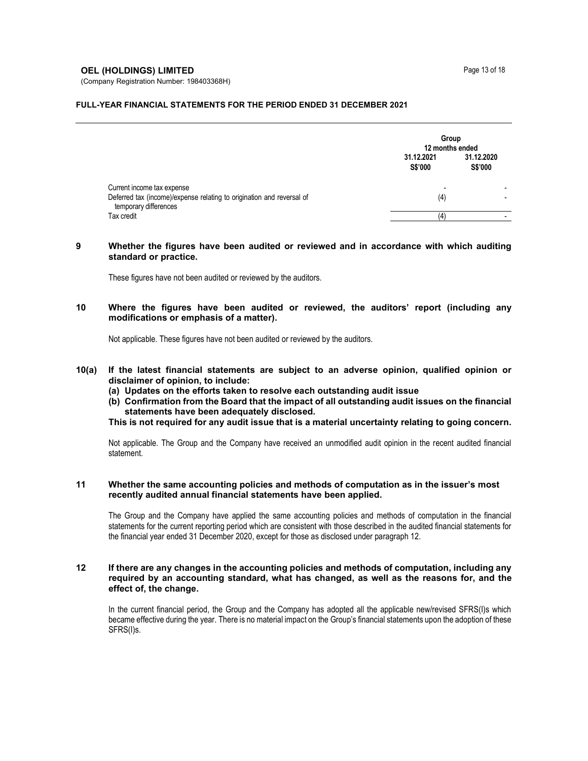## **OEL (HOLDINGS) LIMITED** Page 13 of 18

(Company Registration Number: 198403368H)

#### FULL-YEAR FINANCIAL STATEMENTS FOR THE PERIOD ENDED 31 DECEMBER 2021

|                                                                                                                              |                              | Group<br>12 months ended |  |
|------------------------------------------------------------------------------------------------------------------------------|------------------------------|--------------------------|--|
|                                                                                                                              | 31.12.2021<br><b>S\$'000</b> | 31.12.2020<br>S\$'000    |  |
| Current income tax expense<br>Deferred tax (income)/expense relating to origination and reversal of<br>temporary differences | -<br>(4)                     |                          |  |
| Tax credit                                                                                                                   | 4                            |                          |  |

#### 9 Whether the figures have been audited or reviewed and in accordance with which auditing standard or practice.

These figures have not been audited or reviewed by the auditors.

# 10 Where the figures have been audited or reviewed, the auditors' report (including any modifications or emphasis of a matter).

Not applicable. These figures have not been audited or reviewed by the auditors.

- 10(a) If the latest financial statements are subject to an adverse opinion, qualified opinion or disclaimer of opinion, to include:
	- (a) Updates on the efforts taken to resolve each outstanding audit issue
	- (b) Confirmation from the Board that the impact of all outstanding audit issues on the financial statements have been adequately disclosed.

This is not required for any audit issue that is a material uncertainty relating to going concern.

Not applicable. The Group and the Company have received an unmodified audit opinion in the recent audited financial statement.

#### 11 Whether the same accounting policies and methods of computation as in the issuer's most recently audited annual financial statements have been applied.

The Group and the Company have applied the same accounting policies and methods of computation in the financial statements for the current reporting period which are consistent with those described in the audited financial statements for the financial year ended 31 December 2020, except for those as disclosed under paragraph 12.

# 12 If there are any changes in the accounting policies and methods of computation, including any required by an accounting standard, what has changed, as well as the reasons for, and the effect of, the change.

In the current financial period, the Group and the Company has adopted all the applicable new/revised SFRS(I)s which became effective during the year. There is no material impact on the Group's financial statements upon the adoption of these SFRS(I)s.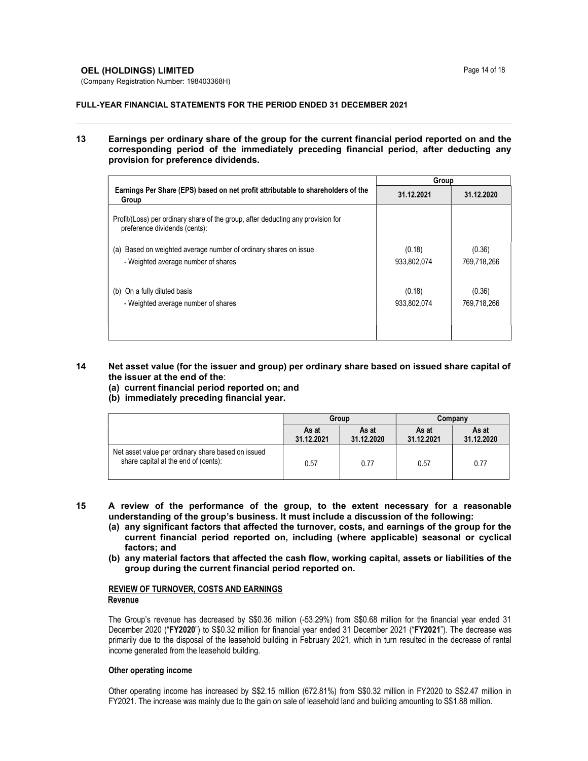## **OEL (HOLDINGS) LIMITED** Page 14 of 18

(Company Registration Number: 198403368H)

#### FULL-YEAR FINANCIAL STATEMENTS FOR THE PERIOD ENDED 31 DECEMBER 2021

## 13 Earnings per ordinary share of the group for the current financial period reported on and the corresponding period of the immediately preceding financial period, after deducting any provision for preference dividends.

|                                                                                                                   | Group                 |                       |  |
|-------------------------------------------------------------------------------------------------------------------|-----------------------|-----------------------|--|
| Earnings Per Share (EPS) based on net profit attributable to shareholders of the<br>Group                         | 31.12.2021            | 31.12.2020            |  |
| Profit/(Loss) per ordinary share of the group, after deducting any provision for<br>preference dividends (cents): |                       |                       |  |
| Based on weighted average number of ordinary shares on issue<br>(a)<br>- Weighted average number of shares        | (0.18)<br>933,802,074 | (0.36)<br>769.718.266 |  |
| (b) On a fully diluted basis<br>- Weighted average number of shares                                               | (0.18)<br>933,802,074 | (0.36)<br>769,718,266 |  |

## 14 Net asset value (for the issuer and group) per ordinary share based on issued share capital of the issuer at the end of the:

- (a) current financial period reported on; and
- (b) immediately preceding financial year.

|                                                                                            | Group               |                     | Company             |                     |
|--------------------------------------------------------------------------------------------|---------------------|---------------------|---------------------|---------------------|
|                                                                                            | As at<br>31.12.2021 | As at<br>31.12.2020 | As at<br>31.12.2021 | As at<br>31.12.2020 |
| Net asset value per ordinary share based on issued<br>share capital at the end of (cents): | 0.57                | 0.77                | 0.57                | 0.77                |

- 15 A review of the performance of the group, to the extent necessary for a reasonable understanding of the group's business. It must include a discussion of the following:
	- (a) any significant factors that affected the turnover, costs, and earnings of the group for the current financial period reported on, including (where applicable) seasonal or cyclical factors; and
	- (b) any material factors that affected the cash flow, working capital, assets or liabilities of the group during the current financial period reported on.

# REVIEW OF TURNOVER, COSTS AND EARNINGS Revenue

The Group's revenue has decreased by S\$0.36 million (-53.29%) from S\$0.68 million for the financial year ended 31 December 2020 ("FY2020") to S\$0.32 million for financial year ended 31 December 2021 ("FY2021"). The decrease was primarily due to the disposal of the leasehold building in February 2021, which in turn resulted in the decrease of rental income generated from the leasehold building.

# Other operating income

Other operating income has increased by S\$2.15 million (672.81%) from S\$0.32 million in FY2020 to S\$2.47 million in FY2021. The increase was mainly due to the gain on sale of leasehold land and building amounting to S\$1.88 million.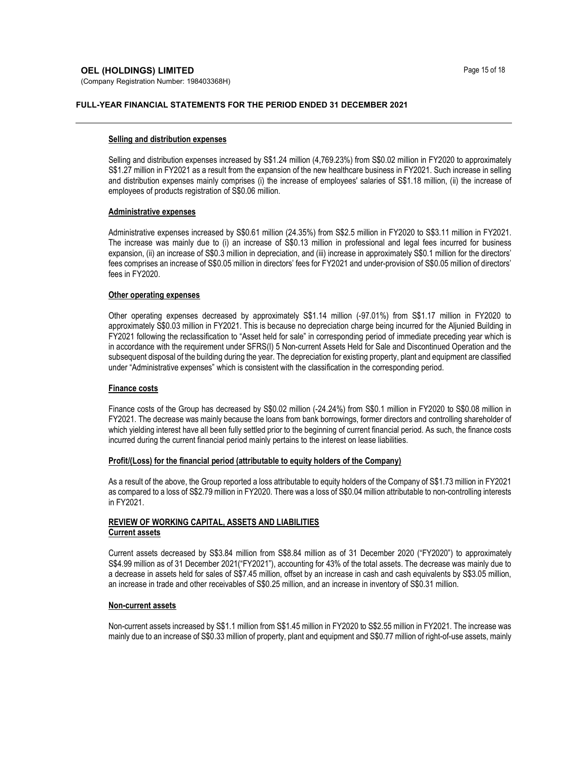## **OEL (HOLDINGS) LIMITED** Page 15 of 18

(Company Registration Number: 198403368H)

### FULL-YEAR FINANCIAL STATEMENTS FOR THE PERIOD ENDED 31 DECEMBER 2021

#### Selling and distribution expenses

Selling and distribution expenses increased by S\$1.24 million (4,769.23%) from S\$0.02 million in FY2020 to approximately S\$1.27 million in FY2021 as a result from the expansion of the new healthcare business in FY2021. Such increase in selling and distribution expenses mainly comprises (i) the increase of employees' salaries of S\$1.18 million, (ii) the increase of employees of products registration of S\$0.06 million.

#### Administrative expenses

Administrative expenses increased by S\$0.61 million (24.35%) from S\$2.5 million in FY2020 to S\$3.11 million in FY2021. The increase was mainly due to (i) an increase of S\$0.13 million in professional and legal fees incurred for business expansion, (ii) an increase of S\$0.3 million in depreciation, and (iii) increase in approximately S\$0.1 million for the directors' fees comprises an increase of S\$0.05 million in directors' fees for FY2021 and under-provision of S\$0.05 million of directors' fees in FY2020.

### Other operating expenses

Other operating expenses decreased by approximately S\$1.14 million (-97.01%) from S\$1.17 million in FY2020 to approximately S\$0.03 million in FY2021. This is because no depreciation charge being incurred for the Aljunied Building in FY2021 following the reclassification to "Asset held for sale" in corresponding period of immediate preceding year which is in accordance with the requirement under SFRS(I) 5 Non-current Assets Held for Sale and Discontinued Operation and the subsequent disposal of the building during the year. The depreciation for existing property, plant and equipment are classified under "Administrative expenses" which is consistent with the classification in the corresponding period.

#### Finance costs

Finance costs of the Group has decreased by S\$0.02 million (-24.24%) from S\$0.1 million in FY2020 to S\$0.08 million in FY2021. The decrease was mainly because the loans from bank borrowings, former directors and controlling shareholder of which yielding interest have all been fully settled prior to the beginning of current financial period. As such, the finance costs incurred during the current financial period mainly pertains to the interest on lease liabilities.

#### Profit/(Loss) for the financial period (attributable to equity holders of the Company)

As a result of the above, the Group reported a loss attributable to equity holders of the Company of S\$1.73 million in FY2021 as compared to a loss of S\$2.79 million in FY2020. There was a loss of S\$0.04 million attributable to non-controlling interests in FY2021.

# REVIEW OF WORKING CAPITAL, ASSETS AND LIABILITIES Current assets

Current assets decreased by S\$3.84 million from S\$8.84 million as of 31 December 2020 ("FY2020") to approximately S\$4.99 million as of 31 December 2021("FY2021"), accounting for 43% of the total assets. The decrease was mainly due to a decrease in assets held for sales of S\$7.45 million, offset by an increase in cash and cash equivalents by S\$3.05 million, an increase in trade and other receivables of S\$0.25 million, and an increase in inventory of S\$0.31 million.

# Non-current assets

Non-current assets increased by S\$1.1 million from S\$1.45 million in FY2020 to S\$2.55 million in FY2021. The increase was mainly due to an increase of S\$0.33 million of property, plant and equipment and S\$0.77 million of right-of-use assets, mainly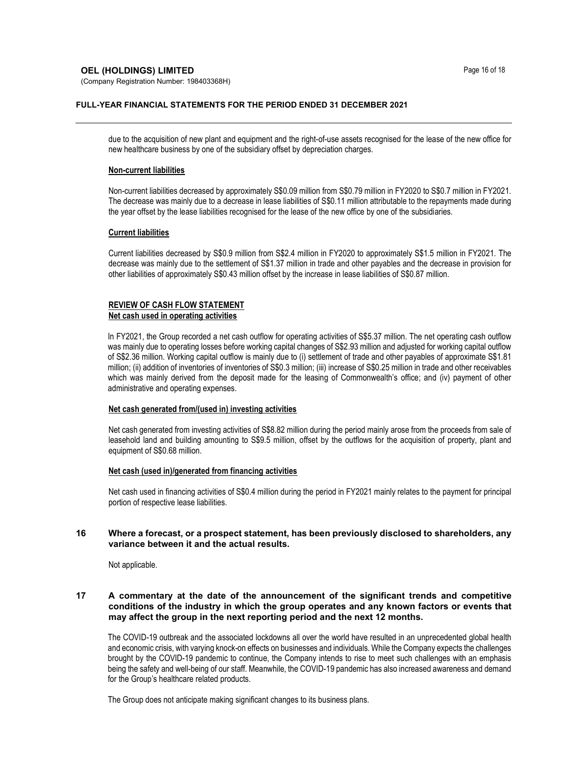# **OEL (HOLDINGS) LIMITED** Page 16 of 18

(Company Registration Number: 198403368H)

## FULL-YEAR FINANCIAL STATEMENTS FOR THE PERIOD ENDED 31 DECEMBER 2021

due to the acquisition of new plant and equipment and the right-of-use assets recognised for the lease of the new office for new healthcare business by one of the subsidiary offset by depreciation charges.

## Non-current liabilities

Non-current liabilities decreased by approximately S\$0.09 million from S\$0.79 million in FY2020 to S\$0.7 million in FY2021. The decrease was mainly due to a decrease in lease liabilities of S\$0.11 million attributable to the repayments made during the year offset by the lease liabilities recognised for the lease of the new office by one of the subsidiaries.

# Current liabilities

Current liabilities decreased by S\$0.9 million from S\$2.4 million in FY2020 to approximately S\$1.5 million in FY2021. The decrease was mainly due to the settlement of S\$1.37 million in trade and other payables and the decrease in provision for other liabilities of approximately S\$0.43 million offset by the increase in lease liabilities of S\$0.87 million.

## REVIEW OF CASH FLOW STATEMENT Net cash used in operating activities

In FY2021, the Group recorded a net cash outflow for operating activities of S\$5.37 million. The net operating cash outflow was mainly due to operating losses before working capital changes of S\$2.93 million and adjusted for working capital outflow of S\$2.36 million. Working capital outflow is mainly due to (i) settlement of trade and other payables of approximate S\$1.81 million; (ii) addition of inventories of inventories of S\$0.3 million; (iii) increase of S\$0.25 million in trade and other receivables which was mainly derived from the deposit made for the leasing of Commonwealth's office; and (iv) payment of other administrative and operating expenses.

# Net cash generated from/(used in) investing activities

Net cash generated from investing activities of S\$8.82 million during the period mainly arose from the proceeds from sale of leasehold land and building amounting to S\$9.5 million, offset by the outflows for the acquisition of property, plant and equipment of S\$0.68 million.

#### Net cash (used in)/generated from financing activities

Net cash used in financing activities of S\$0.4 million during the period in FY2021 mainly relates to the payment for principal portion of respective lease liabilities.

# 16 Where a forecast, or a prospect statement, has been previously disclosed to shareholders, any variance between it and the actual results.

Not applicable.

# 17 A commentary at the date of the announcement of the significant trends and competitive conditions of the industry in which the group operates and any known factors or events that may affect the group in the next reporting period and the next 12 months.

The COVID-19 outbreak and the associated lockdowns all over the world have resulted in an unprecedented global health and economic crisis, with varying knock-on effects on businesses and individuals. While the Company expects the challenges brought by the COVID-19 pandemic to continue, the Company intends to rise to meet such challenges with an emphasis being the safety and well-being of our staff. Meanwhile, the COVID-19 pandemic has also increased awareness and demand for the Group's healthcare related products.

The Group does not anticipate making significant changes to its business plans.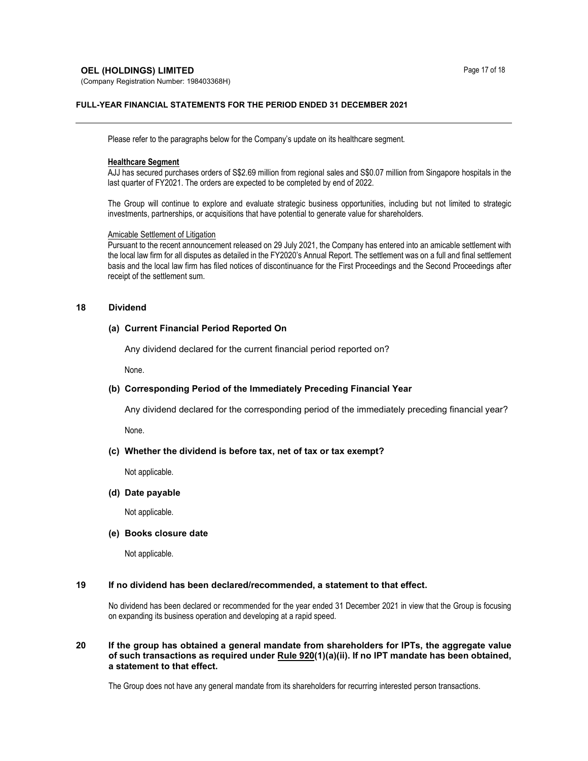# **OEL (HOLDINGS) LIMITED** Page 17 of 18

(Company Registration Number: 198403368H)

## FULL-YEAR FINANCIAL STATEMENTS FOR THE PERIOD ENDED 31 DECEMBER 2021

Please refer to the paragraphs below for the Company's update on its healthcare segment.

#### Healthcare Segment

AJJ has secured purchases orders of S\$2.69 million from regional sales and S\$0.07 million from Singapore hospitals in the last quarter of FY2021. The orders are expected to be completed by end of 2022.

The Group will continue to explore and evaluate strategic business opportunities, including but not limited to strategic investments, partnerships, or acquisitions that have potential to generate value for shareholders.

#### Amicable Settlement of Litigation

Pursuant to the recent announcement released on 29 July 2021, the Company has entered into an amicable settlement with the local law firm for all disputes as detailed in the FY2020's Annual Report. The settlement was on a full and final settlement basis and the local law firm has filed notices of discontinuance for the First Proceedings and the Second Proceedings after receipt of the settlement sum.

## 18 Dividend

## (a) Current Financial Period Reported On

Any dividend declared for the current financial period reported on?

None.

# (b) Corresponding Period of the Immediately Preceding Financial Year

Any dividend declared for the corresponding period of the immediately preceding financial year?

None.

#### (c) Whether the dividend is before tax, net of tax or tax exempt?

Not applicable.

#### (d) Date payable

Not applicable.

#### (e) Books closure date

Not applicable.

# 19 If no dividend has been declared/recommended, a statement to that effect.

No dividend has been declared or recommended for the year ended 31 December 2021 in view that the Group is focusing on expanding its business operation and developing at a rapid speed.

# 20 If the group has obtained a general mandate from shareholders for IPTs, the aggregate value of such transactions as required under  $Rule 920(1)(a)(ii)$ . If no IPT mandate has been obtained, a statement to that effect.

The Group does not have any general mandate from its shareholders for recurring interested person transactions.